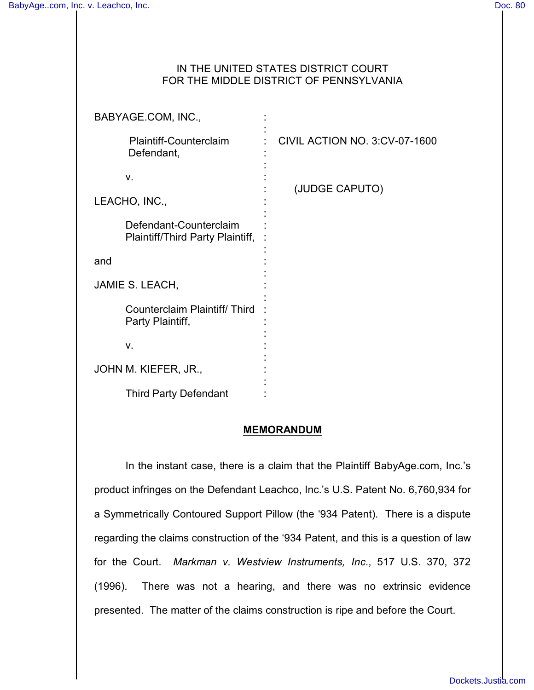# IN THE UNITED STATES DISTRICT COURT FOR THE MIDDLE DISTRICT OF PENNSYLVANIA

| BABYAGE.COM, INC.,                                         |                                      |
|------------------------------------------------------------|--------------------------------------|
| <b>Plaintiff-Counterclaim</b><br>Defendant,                | <b>CIVIL ACTION NO. 3:CV-07-1600</b> |
| v.                                                         |                                      |
| LEACHO, INC.,                                              | (JUDGE CAPUTO)                       |
| Defendant-Counterclaim<br>Plaintiff/Third Party Plaintiff, |                                      |
| and                                                        |                                      |
| JAMIE S. LEACH,                                            |                                      |
| Counterclaim Plaintiff/Third<br>Party Plaintiff,           |                                      |
| V.                                                         |                                      |
| JOHN M. KIEFER, JR.,                                       |                                      |
| <b>Third Party Defendant</b>                               |                                      |

## **MEMORANDUM**

In the instant case, there is a claim that the Plaintiff BabyAge.com, Inc.'s product infringes on the Defendant Leachco, Inc.'s U.S. Patent No. 6,760,934 for a Symmetrically Contoured Support Pillow (the '934 Patent). There is a dispute regarding the claims construction of the '934 Patent, and this is a question of law for the Court. *Markman v. Westview Instruments, Inc*., 517 U.S. 370, 372 (1996). There was not a hearing, and there was no extrinsic evidence presented. The matter of the claims construction is ripe and before the Court.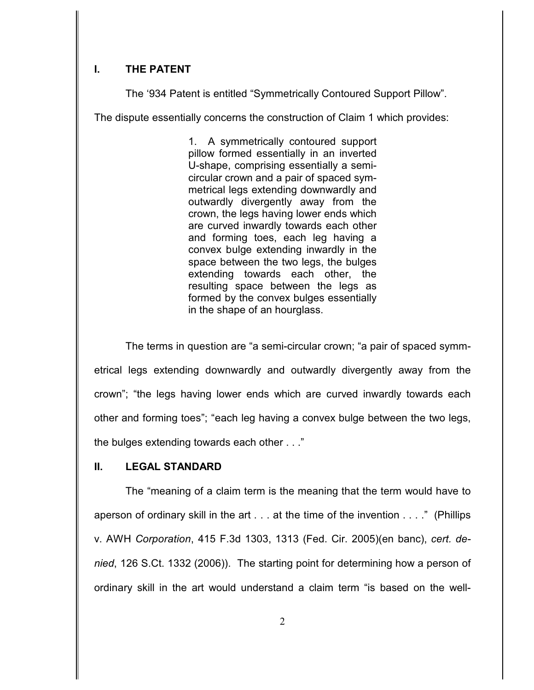# **I. THE PATENT**

The '934 Patent is entitled "Symmetrically Contoured Support Pillow".

The dispute essentially concerns the construction of Claim 1 which provides:

1. A symmetrically contoured support pillow formed essentially in an inverted U-shape, comprising essentially a semicircular crown and a pair of spaced symmetrical legs extending downwardly and outwardly divergently away from the crown, the legs having lower ends which are curved inwardly towards each other and forming toes, each leg having a convex bulge extending inwardly in the space between the two legs, the bulges extending towards each other, the resulting space between the legs as formed by the convex bulges essentially in the shape of an hourglass.

The terms in question are "a semi-circular crown; "a pair of spaced symmetrical legs extending downwardly and outwardly divergently away from the crown"; "the legs having lower ends which are curved inwardly towards each other and forming toes"; "each leg having a convex bulge between the two legs, the bulges extending towards each other . . ."

### **II. LEGAL STANDARD**

The "meaning of a claim term is the meaning that the term would have to aperson of ordinary skill in the art . . . at the time of the invention . . . ." (Phillips v. AWH *Corporation*, 415 F.3d 1303, 1313 (Fed. Cir. 2005)(en banc), *cert. denied*, 126 S.Ct. 1332 (2006)). The starting point for determining how a person of ordinary skill in the art would understand a claim term "is based on the well-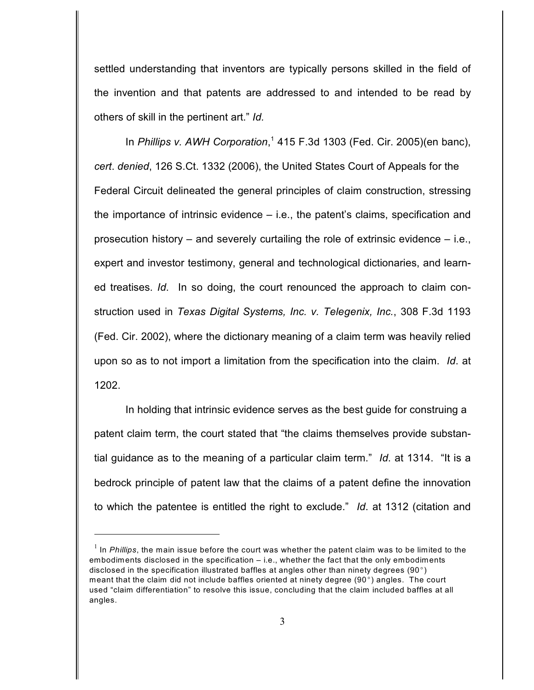settled understanding that inventors are typically persons skilled in the field of the invention and that patents are addressed to and intended to be read by others of skill in the pertinent art." *Id.*

In *Phillips v. AWH Corporation*,<sup>1</sup> 415 F.3d 1303 (Fed. Cir. 2005) (en banc), *cert*. *denied*, 126 S.Ct. 1332 (2006), the United States Court of Appeals for the Federal Circuit delineated the general principles of claim construction, stressing the importance of intrinsic evidence – i.e., the patent's claims, specification and prosecution history – and severely curtailing the role of extrinsic evidence – i.e., expert and investor testimony, general and technological dictionaries, and learned treatises. *Id*.In so doing, the court renounced the approach to claim construction used in *Texas Digital Systems, Inc. v. Telegenix, Inc.*, 308 F.3d 1193 (Fed. Cir. 2002), where the dictionary meaning of a claim term was heavily relied upon so as to not import a limitation from the specification into the claim. *Id*. at 1202.

In holding that intrinsic evidence serves as the best guide for construing a patent claim term, the court stated that "the claims themselves provide substantial guidance as to the meaning of a particular claim term." *Id*. at 1314."It is a bedrock principle of patent law that the claims of a patent define the innovation to which the patentee is entitled the right to exclude." *Id*. at 1312 (citation and

 $<sup>1</sup>$  In *Phillips*, the main issue before the court was whether the patent claim was to be limited to the</sup> embodiments disclosed in the specification – i.e., whether the fact that the only embodiments disclosed in the specification illustrated baffles at angles other than ninety degrees (90 $^{\circ}$ ) meant that the claim did not include baffles oriented at ninety degree (90 $^{\circ}$ ) angles. The court used "claim differentiation" to resolve this issue, concluding that the claim included baffles at all angles.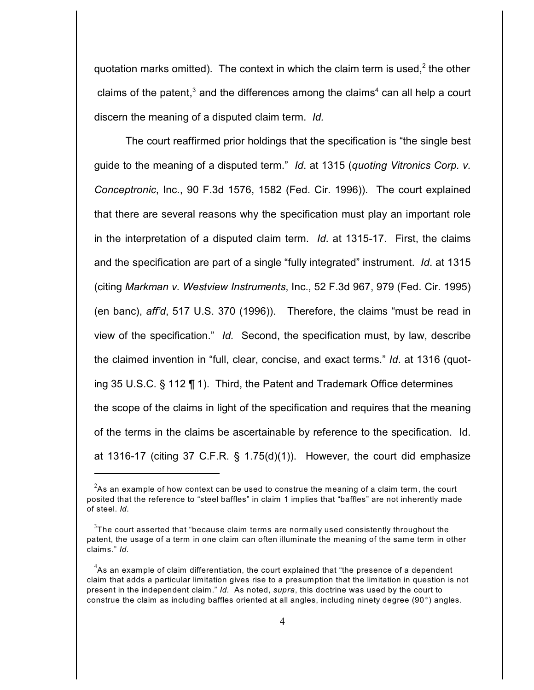quotation marks omitted). The context in which the claim term is used,  $2$  the other claims of the patent,<sup>3</sup> and the differences among the claims<sup>4</sup> can all help a court discern the meaning of a disputed claim term. *Id.*

The court reaffirmed prior holdings that the specification is "the single best guide to the meaning of a disputed term." *Id*. at 1315 (*quoting Vitronics Corp. v. Conceptronic*, Inc., 90 F.3d 1576, 1582 (Fed. Cir. 1996)).The court explained that there are several reasons why the specification must play an important role in the interpretation of a disputed claim term. *Id*. at 1315-17. First, the claims and the specification are part of a single "fully integrated" instrument. *Id*. at 1315 (citing *Markman v. Westview Instruments*, Inc., 52 F.3d 967, 979 (Fed. Cir. 1995) (en banc), *aff'd*, 517 U.S. 370 (1996)). Therefore, the claims "must be read in view of the specification." *Id.* Second, the specification must, by law, describe the claimed invention in "full, clear, concise, and exact terms." *Id*. at 1316 (quoting 35 U.S.C. § 112 ¶ 1). Third, the Patent and Trademark Office determines the scope of the claims in light of the specification and requires that the meaning of the terms in the claims be ascertainable by reference to the specification. Id. at 1316-17 (citing 37 C.F.R. § 1.75(d)(1)). However, the court did emphasize

 $^{2}$ As an example of how context can be used to construe the meaning of a claim term, the court posited that the reference to "steel baffles" in claim 1 implies that "baffles" are not inherently made of steel. *Id.*

 $^3$ The court asserted that "because claim terms are normally used consistently throughout the patent, the usage of a term in one claim can often illuminate the meaning of the same term in other claims." *Id.*

 $^4$ As an example of claim differentiation, the court explained that "the presence of a dependent claim that adds a particular limitation gives rise to a presumption that the limitation in question is not present in the independent claim." *Id.* As noted, *supra*, this doctrine was used by the court to construe the claim as including baffles oriented at all angles, including ninety degree (90 $^{\circ}$ ) angles.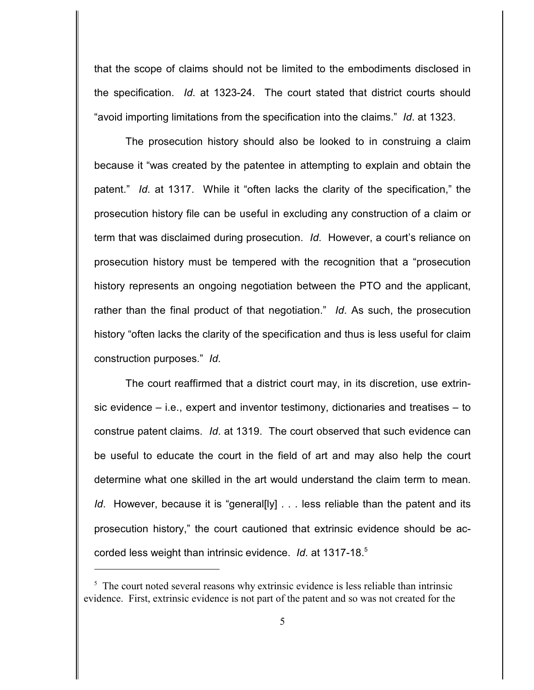that the scope of claims should not be limited to the embodiments disclosed in the specification. *Id*. at 1323-24. The court stated that district courts should "avoid importing limitations from the specification into the claims." *Id*. at 1323.

The prosecution history should also be looked to in construing a claim because it "was created by the patentee in attempting to explain and obtain the patent." *Id*. at 1317. While it "often lacks the clarity of the specification," the prosecution history file can be useful in excluding any construction of a claim or term that was disclaimed during prosecution. *Id*. However, a court's reliance on prosecution history must be tempered with the recognition that a "prosecution history represents an ongoing negotiation between the PTO and the applicant, rather than the final product of that negotiation." *Id*. As such, the prosecution history "often lacks the clarity of the specification and thus is less useful for claim construction purposes." *Id*.

The court reaffirmed that a district court may, in its discretion, use extrinsic evidence – i.e., expert and inventor testimony, dictionaries and treatises – to construe patent claims. *Id*. at 1319. The court observed that such evidence can be useful to educate the court in the field of art and may also help the court determine what one skilled in the art would understand the claim term to mean. *Id.* However, because it is "general[ly] . . . less reliable than the patent and its prosecution history," the court cautioned that extrinsic evidence should be accorded less weight than intrinsic evidence. *Id*. at 1317-18.5

 $\frac{1}{2}$ . The court noted several reasons why extrinsic evidence is less reliable than intrinsic evidence. First, extrinsic evidence is not part of the patent and so was not created for the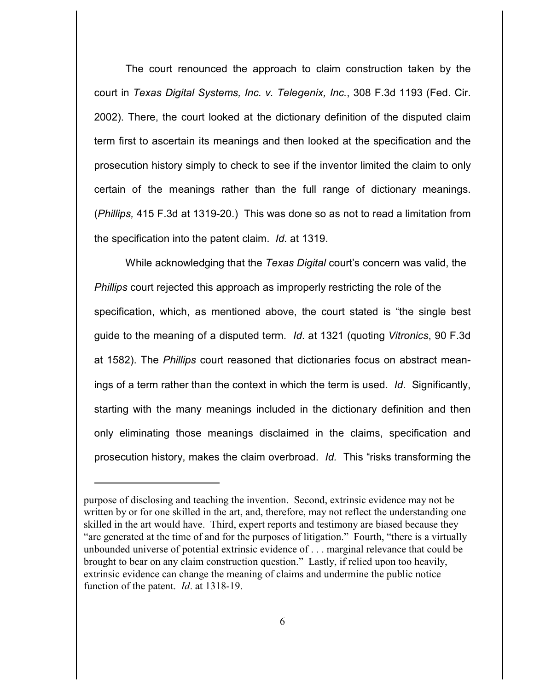The court renounced the approach to claim construction taken by the court in *Texas Digital Systems, Inc. v. Telegenix, Inc.*, 308 F.3d 1193 (Fed. Cir. 2002). There, the court looked at the dictionary definition of the disputed claim term first to ascertain its meanings and then looked at the specification and the prosecution history simply to check to see if the inventor limited the claim to only certain of the meanings rather than the full range of dictionary meanings. (*Phillips,* 415 F.3d at 1319-20.) This was done so as not to read a limitation from the specification into the patent claim. *Id.* at 1319.

While acknowledging that the *Texas Digital* court's concern was valid, the *Phillips* court rejected this approach as improperly restricting the role of the specification, which, as mentioned above, the court stated is "the single best guide to the meaning of a disputed term. *Id*. at 1321 (quoting *Vitronics*, 90 F.3d at 1582). The *Phillips* court reasoned that dictionaries focus on abstract meanings of a term rather than the context in which the term is used. *Id*. Significantly, starting with the many meanings included in the dictionary definition and then only eliminating those meanings disclaimed in the claims, specification and prosecution history, makes the claim overbroad. *Id.* This "risks transforming the

purpose of disclosing and teaching the invention. Second, extrinsic evidence may not be written by or for one skilled in the art, and, therefore, may not reflect the understanding one skilled in the art would have. Third, expert reports and testimony are biased because they "are generated at the time of and for the purposes of litigation." Fourth, "there is a virtually unbounded universe of potential extrinsic evidence of . . . marginal relevance that could be brought to bear on any claim construction question." Lastly, if relied upon too heavily, extrinsic evidence can change the meaning of claims and undermine the public notice function of the patent. *Id*. at 1318-19.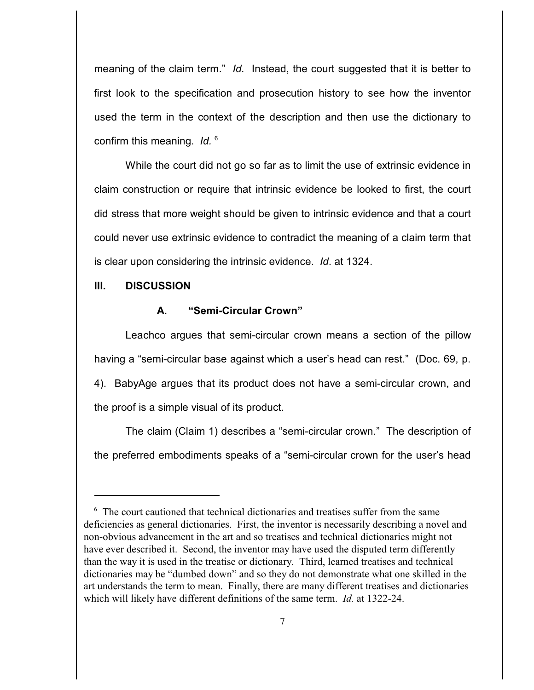meaning of the claim term." *Id.* Instead, the court suggested that it is better to first look to the specification and prosecution history to see how the inventor used the term in the context of the description and then use the dictionary to confirm this meaning. *Id.* 6

While the court did not go so far as to limit the use of extrinsic evidence in claim construction or require that intrinsic evidence be looked to first, the court did stress that more weight should be given to intrinsic evidence and that a court could never use extrinsic evidence to contradict the meaning of a claim term that is clear upon considering the intrinsic evidence. *Id*. at 1324.

#### **III. DISCUSSION**

#### **A. "Semi-Circular Crown"**

Leachco argues that semi-circular crown means a section of the pillow having a "semi-circular base against which a user's head can rest." (Doc. 69, p. 4). BabyAge argues that its product does not have a semi-circular crown, and the proof is a simple visual of its product.

The claim (Claim 1) describes a "semi-circular crown." The description of the preferred embodiments speaks of a "semi-circular crown for the user's head

 $\delta$  The court cautioned that technical dictionaries and treatises suffer from the same deficiencies as general dictionaries. First, the inventor is necessarily describing a novel and non-obvious advancement in the art and so treatises and technical dictionaries might not have ever described it. Second, the inventor may have used the disputed term differently than the way it is used in the treatise or dictionary. Third, learned treatises and technical dictionaries may be "dumbed down" and so they do not demonstrate what one skilled in the art understands the term to mean. Finally, there are many different treatises and dictionaries which will likely have different definitions of the same term. *Id.* at 1322-24.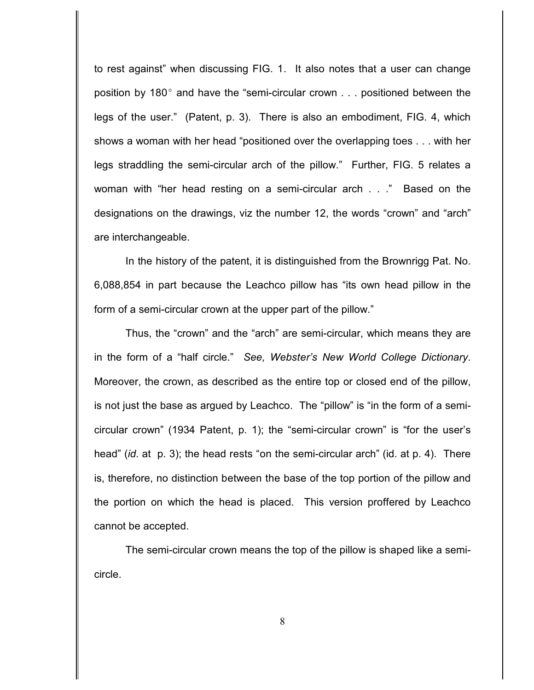to rest against" when discussing FIG. 1. It also notes that a user can change position by 180 $^{\circ}$  and have the "semi-circular crown  $\ldots$  positioned between the legs of the user." (Patent, p. 3). There is also an embodiment, FIG. 4, which shows a woman with her head "positioned over the overlapping toes . . . with her legs straddling the semi-circular arch of the pillow." Further, FIG. 5 relates a woman with "her head resting on a semi-circular arch . . ." Based on the designations on the drawings, viz the number 12, the words "crown" and "arch" are interchangeable.

In the history of the patent, it is distinguished from the Brownrigg Pat. No. 6,088,854 in part because the Leachco pillow has "its own head pillow in the form of a semi-circular crown at the upper part of the pillow."

Thus, the "crown" and the "arch" are semi-circular, which means they are in the form of a "half circle." *See, Webster's New World College Dictionary*. Moreover, the crown, as described as the entire top or closed end of the pillow, is not just the base as argued by Leachco. The "pillow" is "in the form of a semicircular crown" (1934 Patent, p. 1); the "semi-circular crown" is "for the user's head" (*id*. at p. 3); the head rests "on the semi-circular arch" (id. at p. 4). There is, therefore, no distinction between the base of the top portion of the pillow and the portion on which the head is placed. This version proffered by Leachco cannot be accepted.

The semi-circular crown means the top of the pillow is shaped like a semicircle.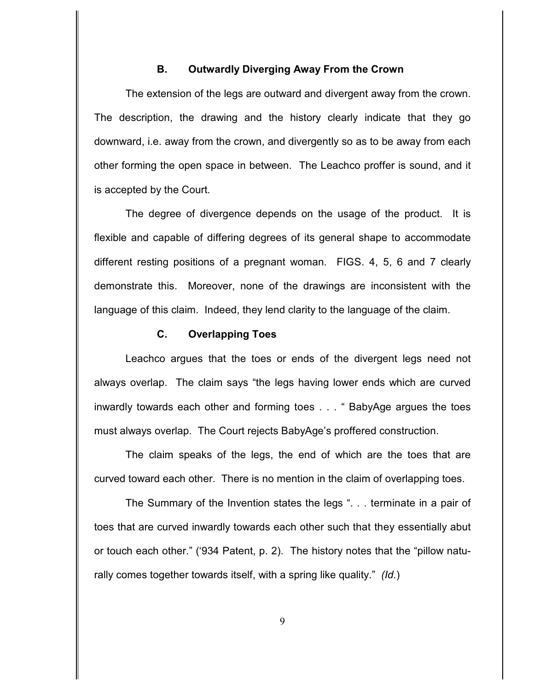## **B. Outwardly Diverging Away From the Crown**

The extension of the legs are outward and divergent away from the crown. The description, the drawing and the history clearly indicate that they go downward, i.e. away from the crown, and divergently so as to be away from each other forming the open space in between. The Leachco proffer is sound, and it is accepted by the Court.

The degree of divergence depends on the usage of the product. It is flexible and capable of differing degrees of its general shape to accommodate different resting positions of a pregnant woman. FIGS. 4, 5, 6 and 7 clearly demonstrate this. Moreover, none of the drawings are inconsistent with the language of this claim. Indeed, they lend clarity to the language of the claim.

### **C. Overlapping Toes**

Leachco argues that the toes or ends of the divergent legs need not always overlap. The claim says "the legs having lower ends which are curved inwardly towards each other and forming toes . . . " BabyAge argues the toes must always overlap. The Court rejects BabyAge's proffered construction.

The claim speaks of the legs, the end of which are the toes that are curved toward each other. There is no mention in the claim of overlapping toes.

The Summary of the Invention states the legs ". . . terminate in a pair of toes that are curved inwardly towards each other such that they essentially abut or touch each other." ('934 Patent, p. 2). The history notes that the "pillow naturally comes together towards itself, with a spring like quality." *(Id.*)